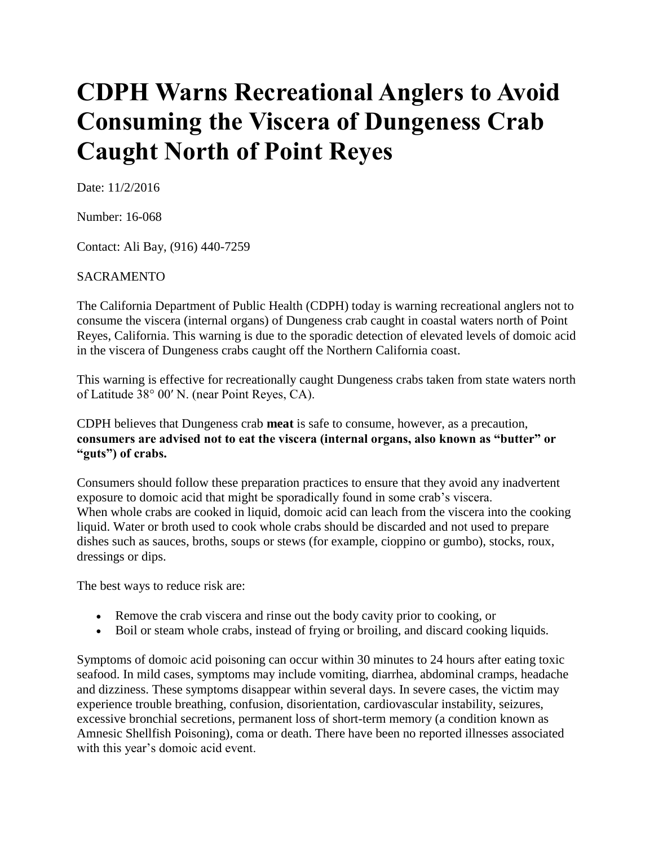## **CDPH Warns Recreational Anglers to Avoid Consuming the Viscera of Dungeness Crab Caught North of Point Reyes**

Date: 11/2/2016

Number: 16-068

Contact: Ali Bay, (916) 440-7259

## SACRAMENTO

The California Department of Public Health (CDPH) today is warning recreational anglers not to consume the viscera (internal organs) of Dungeness crab caught in coastal waters north of Point Reyes, California. This warning is due to the sporadic detection of elevated levels of domoic acid in the viscera of Dungeness crabs caught off the Northern California coast.

This warning is effective for recreationally caught Dungeness crabs taken from state waters north of Latitude 38° 00′ N. (near Point Reyes, CA).

CDPH believes that Dungeness crab **meat** is safe to consume, however, as a precaution, **consumers are advised not to eat the viscera (internal organs, also known as "butter" or "guts") of crabs.**

Consumers should follow these preparation practices to ensure that they avoid any inadvertent exposure to domoic acid that might be sporadically found in some crab's viscera. When whole crabs are cooked in liquid, domoic acid can leach from the viscera into the cooking liquid. Water or broth used to cook whole crabs should be discarded and not used to prepare dishes such as sauces, broths, soups or stews (for example, cioppino or gumbo), stocks, roux, dressings or dips.

The best ways to reduce risk are:

- Remove the crab viscera and rinse out the body cavity prior to cooking, or
- Boil or steam whole crabs, instead of frying or broiling, and discard cooking liquids.

Symptoms of domoic acid poisoning can occur within 30 minutes to 24 hours after eating toxic seafood. In mild cases, symptoms may include vomiting, diarrhea, abdominal cramps, headache and dizziness. These symptoms disappear within several days. In severe cases, the victim may experience trouble breathing, confusion, disorientation, cardiovascular instability, seizures, excessive bronchial secretions, permanent loss of short-term memory (a condition known as Amnesic Shellfish Poisoning), coma or death. There have been no reported illnesses associated with this year's domoic acid event.